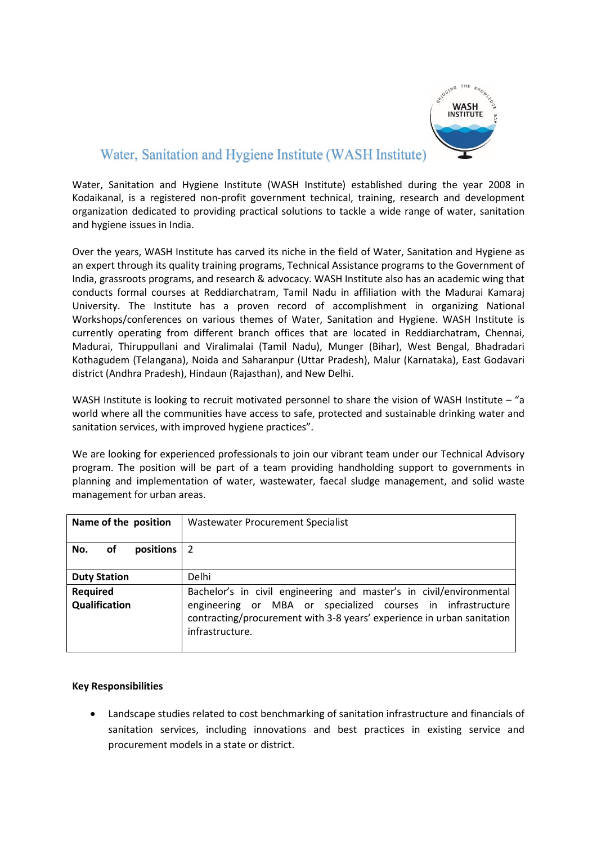

# Water, Sanitation and Hygiene Institute (WASH Institute)

Water, Sanitation and Hygiene Institute (WASH Institute) established during the year 2008 in Kodaikanal, is a registered non-profit government technical, training, research and development organization dedicated to providing practical solutions to tackle a wide range of water, sanitation and hygiene issues in India.

Over the years, WASH Institute has carved its niche in the field of Water, Sanitation and Hygiene as an expert through its quality training programs, Technical Assistance programs to the Government of India, grassroots programs, and research & advocacy. WASH Institute also has an academic wing that conducts formal courses at Reddiarchatram, Tamil Nadu in affiliation with the Madurai Kamaraj University. The Institute has a proven record of accomplishment in organizing National Workshops/conferences on various themes of Water, Sanitation and Hygiene. WASH Institute is currently operating from different branch offices that are located in Reddiarchatram, Chennai, Madurai, Thiruppullani and Viralimalai (Tamil Nadu), Munger (Bihar), West Bengal, Bhadradari Kothagudem (Telangana), Noida and Saharanpur (Uttar Pradesh), Malur (Karnataka), East Godavari district (Andhra Pradesh), Hindaun (Rajasthan), and New Delhi.

WASH Institute is looking to recruit motivated personnel to share the vision of WASH Institute – "a world where all the communities have access to safe, protected and sustainable drinking water and sanitation services, with improved hygiene practices".

We are looking for experienced professionals to join our vibrant team under our Technical Advisory program. The position will be part of a team providing handholding support to governments in planning and implementation of water, wastewater, faecal sludge management, and solid waste management for urban areas.

# **Key Responsibilities**

 Landscape studies related to cost benchmarking of sanitation infrastructure and financials of sanitation services, including innovations and best practices in existing service and procurement models in a state or district.